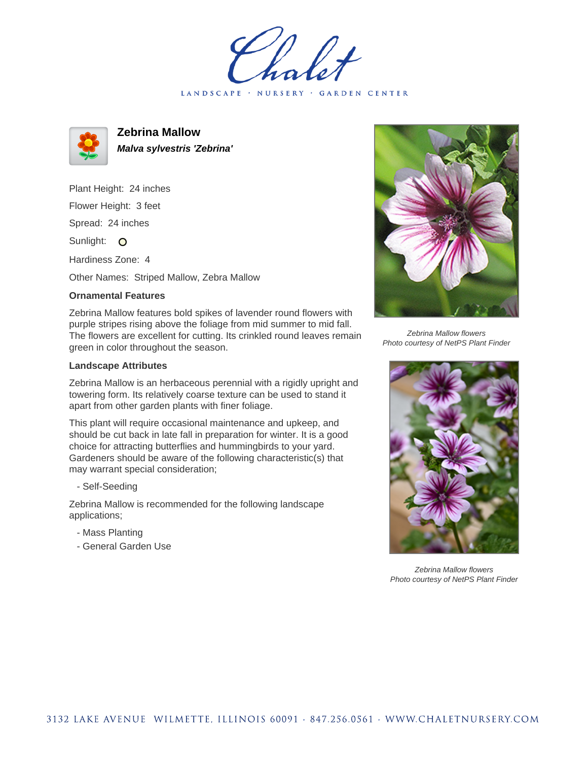LANDSCAPE · NURSERY · GARDEN CENTER



**Zebrina Mallow Malva sylvestris 'Zebrina'**

Plant Height: 24 inches Flower Height: 3 feet Spread: 24 inches

Sunlight: O

Hardiness Zone: 4

Other Names: Striped Mallow, Zebra Mallow

## **Ornamental Features**

Zebrina Mallow features bold spikes of lavender round flowers with purple stripes rising above the foliage from mid summer to mid fall. The flowers are excellent for cutting. Its crinkled round leaves remain green in color throughout the season.

## **Landscape Attributes**

Zebrina Mallow is an herbaceous perennial with a rigidly upright and towering form. Its relatively coarse texture can be used to stand it apart from other garden plants with finer foliage.

This plant will require occasional maintenance and upkeep, and should be cut back in late fall in preparation for winter. It is a good choice for attracting butterflies and hummingbirds to your yard. Gardeners should be aware of the following characteristic(s) that may warrant special consideration;

- Self-Seeding

Zebrina Mallow is recommended for the following landscape applications;

- Mass Planting
- General Garden Use



Zebrina Mallow flowers Photo courtesy of NetPS Plant Finder



Zebrina Mallow flowers Photo courtesy of NetPS Plant Finder